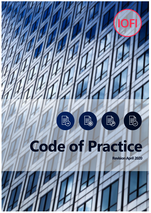

# **Code of Practice**

**Revision April 2020**

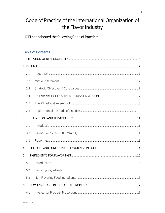## Code of Practice of the International Organization of the Flavor Industry

IOFI has adopted the following Code of Practice:

## **Table of Contents**

|                | 2.1 |  |  |  |
|----------------|-----|--|--|--|
|                | 2.2 |  |  |  |
|                | 2.3 |  |  |  |
|                | 2.4 |  |  |  |
|                | 2.5 |  |  |  |
|                | 2.6 |  |  |  |
| $\overline{3}$ |     |  |  |  |
|                | 3.1 |  |  |  |
|                | 3.2 |  |  |  |
|                | 3.3 |  |  |  |
| $\overline{4}$ |     |  |  |  |
| 5              |     |  |  |  |
|                | 5.1 |  |  |  |
|                | 5.2 |  |  |  |
|                | 5.3 |  |  |  |
| 6              |     |  |  |  |
|                | 6.1 |  |  |  |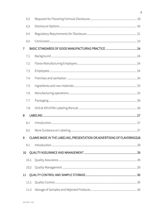|                 | 6.2  |                                                                          |  |
|-----------------|------|--------------------------------------------------------------------------|--|
|                 | 6.3  |                                                                          |  |
|                 | 6.4  |                                                                          |  |
|                 | 6.5  |                                                                          |  |
| $\overline{7}$  |      |                                                                          |  |
|                 | 7.1  |                                                                          |  |
|                 | 7.2  |                                                                          |  |
|                 | 7.3  |                                                                          |  |
|                 | 7.4  |                                                                          |  |
|                 | 7.5  |                                                                          |  |
|                 | 7.6  |                                                                          |  |
|                 | 7.7  |                                                                          |  |
|                 | 7.8  |                                                                          |  |
| 8               |      |                                                                          |  |
|                 | 8.1  |                                                                          |  |
|                 | 8.2  |                                                                          |  |
| 9               |      | CLAIMS MADE IN THE LABELING, PRESENTATION OR ADVERTISING OF FLAVORINGS28 |  |
|                 | 9.1  |                                                                          |  |
| 10 <sup>°</sup> |      |                                                                          |  |
|                 | 10.1 |                                                                          |  |
|                 | 10.2 |                                                                          |  |
| 11              |      |                                                                          |  |
|                 | 11.1 |                                                                          |  |
|                 | 11.2 |                                                                          |  |

 $\overline{c}$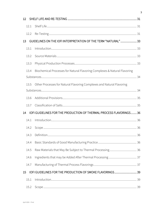| 12 |      |                                                                           |  |
|----|------|---------------------------------------------------------------------------|--|
|    | 12.1 |                                                                           |  |
|    | 12.2 |                                                                           |  |
| 13 |      | GUIDELINES ON THE IOFI INTERPRETATION OF THE TERM "NATURAL"33             |  |
|    | 13.1 |                                                                           |  |
|    | 13.2 |                                                                           |  |
|    | 13.3 |                                                                           |  |
|    | 13.4 | Biochemical Processes for Natural Flavoring Complexes & Natural Flavoring |  |
|    |      |                                                                           |  |
|    | 13.5 | Other Processes for Natural Flavoring Complexes and Natural Flavoring     |  |
|    |      |                                                                           |  |
|    | 13.6 |                                                                           |  |
|    | 13.7 |                                                                           |  |
| 14 |      | IOFI GUIDELINES FOR THE PRODUCTION OF THERMAL PROCESS FLAVORINGS36        |  |
|    | 14.1 |                                                                           |  |
|    | 14.2 |                                                                           |  |
|    | 14.3 |                                                                           |  |
|    | 14.4 |                                                                           |  |
|    | 14.5 |                                                                           |  |
|    | 14.6 |                                                                           |  |
|    | 14.7 |                                                                           |  |
| 15 |      | IOFI GUIDELINES FOR THE PRODUCTION OF SMOKE FLAVORINGS 39                 |  |
|    | 15.1 |                                                                           |  |
|    | 15.2 |                                                                           |  |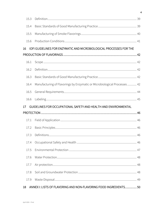| 15.3 |                                                                          |  |
|------|--------------------------------------------------------------------------|--|
| 15.4 |                                                                          |  |
| 15.5 |                                                                          |  |
| 15.6 |                                                                          |  |
| 16   | IOFI GUIDELINES FOR ENZYMATIC AND MICROBIOLOGICAL PROCESSES FOR THE      |  |
|      |                                                                          |  |
| 16.1 |                                                                          |  |
| 16.2 |                                                                          |  |
| 16.3 |                                                                          |  |
| 16.4 | Manufacturing of Flavorings by Enzymatic or Microbiological Processes 42 |  |
| 16.5 |                                                                          |  |
| 16.6 |                                                                          |  |
|      |                                                                          |  |
| 17   | GUIDELINES FOR OCCUPATIONAL SAFETY AND HEALTH AND ENVIRONMENTAL          |  |
|      |                                                                          |  |
| 17.1 |                                                                          |  |
| 17.2 |                                                                          |  |
| 17.3 |                                                                          |  |
| 17.4 |                                                                          |  |
| 17.5 |                                                                          |  |
| 17.6 |                                                                          |  |
| 17.7 |                                                                          |  |
| 17.8 |                                                                          |  |
| 17.9 |                                                                          |  |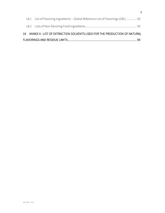| 18.1 List of Flavoring Ingredients - Global Reference List of Flavorings (GRL)  50 |  |
|------------------------------------------------------------------------------------|--|
|                                                                                    |  |
| 19 ANNEX II: LIST OF EXTRACTION SOLVENTS USED FOR THE PRODUCTION OF NATURAL        |  |
|                                                                                    |  |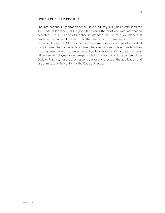#### <span id="page-6-0"></span>1 LIMITATION OF RESPONSIBILITY

The International Organization of the Flavor Industry (IOFI) has established the IOFI Code of Practice (CoP) in good faith using the most accurate information available. The IOFI Code of Practice is intended for use as a voluntary best practices resource document by the entire IOFI membership. It is the responsibility of the IOFI ordinary company members as well as of individual company members affiliated to IOFI member associations to determine how they may best use the information in the IOFI Code of Practice. IOFI and its members, officers and employees are not responsible for the accuracy of the content of the Code of Practice, nor are they responsible for any effects of the application and use or misuse of the content of the Code of Practice.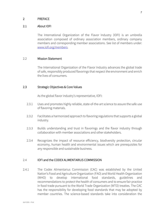#### <span id="page-7-1"></span><span id="page-7-0"></span>2 PREFACE

#### 2.1 About IOFI

The International Organization of the Flavor Industry (IOFI) is an umbrella association composed of ordinary association members, ordinary company members and corresponding member associations. See list of members under: [www.iofi.org/members.](http://www.iofi.org/members)

#### <span id="page-7-2"></span>2.2 Mission Statement

The International Organization of the Flavor Industry advances the global trade of safe, responsibly produced flavorings that respect the environment and enrich the lives of consumers.

#### <span id="page-7-3"></span>2.3 Strategic Objectives & Core Values

As the global flavor industry's representative, IOFI:

- 2.3.1 Uses and promotes highly reliable, state-of-the-art science to assure the safe use of flavoring materials.
- 2.3.2 Facilitates a harmonized approach to flavoring regulations that supports a global industry.
- 2.3.3 Builds understanding and trust in flavorings and the flavor industry through collaboration with member associations and other stakeholders.
- 2.3.4 Recognizes the impact of resource efficiency, biodiversity protection, circular economy, human health and environmental issues which are prerequisites for any responsible and sustainable business.

#### <span id="page-7-4"></span>2.4 IOFI and the CODEX ALIMENTARIUS COMMISSION

2.4.1 The Codex Alimentarius Commission (CAC) was established by the United Nation's Food and Agriculture Organization (FAO) and World Health Organization (WHO) to develop international food standards, guidelines and recommendations to protect the health of consumers and to ensure fair practice in food trade pursuant to the World Trade Organization (WTO) treaties. The CAC has the responsibility for developing food standards that may be adopted by member countries. The science-based standards take into consideration the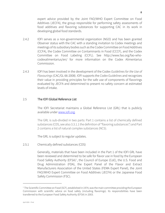expert advice provided by the Joint FAO/WHO Expert Committee on Food Additives (JECFA), the group responsible for performing safety assessments of food additives and flavoring substances for supporting CAC in its work in developing global food standards.

- 2.4.2 IOFI serves as a non-governmental organization (NGO) and has been granted Observer status with the CAC with a standing invitation to Codex meetings and meetings of its subsidiary bodies such as the Codex Committee on Food Additives (CCFA), the Codex Committee on Contaminants in Food (CCCF), and the Codex Committee on Food Labeling (CCFL). See http://www.fao.org/fao-whocodexalimentarius/en/ for more information on the Codex Alimentarius Commission.
- 2.4.3 IOFI has been involved in the development of the Codex *Guidelines for the Use of Flavourings*(CAC/GL 66-2008). IOFI supports the *Codex Guidelines* and recognizes their value in providing principles for the safe use of components of flavorings evaluated by JECFA and determined to present no safety concern at estimated levels of intake.

#### <span id="page-8-0"></span>2.5 The IOFI Global Reference List

The IOFI Secretariat maintains a Global Reference List (GRL) that is publicly available under [www.iofi.org.](http://www.iofi.org/)

The GRL is sub-divided in two parts: Part 1 contains a list of chemically defined substances (CDS, see also 3.3.1.1 the definition of "flavoring substances") and Part 2 contains a list of natural complex substances (NCS).

The GRL is subject to regular updates.

2.5.1 Chemically defined substances (CDS)

Generally, materials that have been included in the Part 1 of the IOFI GRL have been reviewed and determined to be safe for flavor use in food by the European Food Safety Authority (EFSA)<sup>[1](#page-8-1)</sup>, the Council of Europe (CoE), the U.S. Food and Drug Administration (FDA), the Expert Panel of the Flavor and Extract Manufacturers Association of the United States (FEMA Expert Panel), the Joint FAO/WHO Expert Committee on Food Additives (JECFA) or the Japanese Food Safety Commission (FSC).

<span id="page-8-1"></span><sup>&</sup>lt;sup>1</sup> The Scientific Committee on Food (SCF), established in 1974, was the main committee providing the European Commission with scientific advice on food safety (including flavorings). Its responsibilities have been transferred to the European Food Safety Authority (EFSA) in 2003.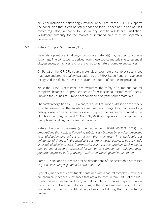While the inclusion of a flavoring substance in the Part 1 of the IOFI GRL supports the conclusion that it can be safely added to food, it does not in and of itself confer regulatory authority to use in any specific regulatory jurisdiction. Regulatory authority for the market of intended sale must be separately determined.

#### 2.5.2 Natural Complex Substances (NCS)

Materials of plant or animal origin (i.e., source materials) may be used to produce flavorings. The constituents derived from these source materials (e.g., essential oils, essences, extractives, etc.) are referred to as natural complex substances.

On Part 2 of the IOFI GRL, source materials and/or natural complex substances that have undergone a safety evaluation by the FEMA Expert Panel or have been recognized as safe by the US FDA and/or the Council of Europe are provided.

While the FEMA Expert Panel has evaluated the safety of numerous natural complex substances (i.e., products derived from specific source materials), the US FDA and the Council of Europe have considered only the source materials.

The safety recognition by US FDA and/or Council of Europe is based on the widely accepted assumption that substances naturally occurring in food that have a long history of use can be considered as safe. This principle has been enshrined in the EU Flavouring Regulation (EC) No 1334/2008 and appears to be applied by multiple national regulators around the world.

Natural flavoring complexes (as defined under CAC/GL 66-2008, 2.2.2) *are preparations that contain flavouring substances obtained by physical processes (e.g., distillation and solvent extraction) that may result in unavoidable but unintentional changes in the chemical structure of the flavouring, or by enzymatic or microbiological processes, from material of plant or animal origin. Such material may be unprocessed or processed for human consumption by traditional foodpreparation processes (e.g., drying, torrefaction (roasting) and fermentation).*

Some jurisdictions have more precise descriptions of the acceptable processes (e.g., EU *Flavouring Regulation (EC) No 1334/2008*).

Typically, many of the constituents contained within natural complex substances are chemically defined substances that are also listed within Part 1 of the GRL. Due to the way they are produced, natural complex substances may also contain constituents that are naturally occurring in the source materials, e.g., intrinsic fruit water, as well as food/food ingredients used during the manufacturing process.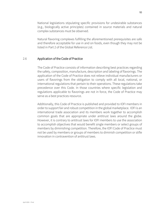National legislations stipulating specific provisions for undesirable substances (e.g., biologically active principles) contained in source materials and natural complex substances must be observed.

Natural flavoring complexes fulfilling the aforementioned prerequisites are safe and therefore acceptable for use in and on foods, even though they may not be listed in Part 2 of the Global Reference List.

#### <span id="page-10-0"></span>2.6 Application of the Code of Practice

The Code of Practice consists of information describing best practices regarding the safety, composition, manufacture, description and labeling of flavorings. The application of the Code of Practice does not relieve individual manufacturers or users of flavorings from the obligation to comply with all local, national, or international regulations that pertain to their operations. These regulations take precedence over this Code. In those countries where specific legislation and regulations applicable to flavorings are not in force, the Code of Practice may serve as a best practices resource.

Additionally, this Code of Practice is published and provided to IOFI members in order to support fair and robust competition in the global marketplace. IOFI is an international trade association and its members work together to accomplish common goals that are appropriate under antitrust laws around the globe. However, it is contrary to antitrust laws for IOFI members to use the association to accomplish objectives that would benefit single members or select groups of members by diminishing competition. Therefore, the IOFI Code of Practice must not be used by members or groups of members to diminish competition or stifle innovation in contravention of antitrust laws.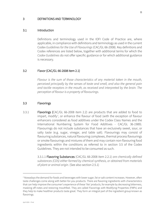#### <span id="page-11-0"></span>3 DEFINITIONS AND TERMINOLOGY

#### <span id="page-11-1"></span>3.1 Introduction

Definitions and terminology used in the IOFI Code of Practice are, where applicable, in compliance with definitions and terminology as used in the current Codex *Guidelines for the Use of Flavourings* (CAC/GL 66-2008). Key definitions and Codex references are listed below, together with additional terms for which the *Codex Guidelines* do not offer specific guidance or for which additional guidance is necessary.

#### <span id="page-11-2"></span>3.2 Flavor (CAC/GL 66-2008 item 2.1)

*Flavour is the sum of those characteristics of any material taken in the mouth, perceived principally by the senses of taste and smell, and also the general pain and tactile receptors in the mouth, as received and interpreted by the brain. The perception of flavour is a property of flavourings.* 

#### <span id="page-11-3"></span>3.3 Flavorings

3.3.1 Flavorings (CAC/GL 66-2008 item 2.2) are products that are added to food to impart, modify<sup>[2](#page-11-4)</sup>, or enhance the flavour of food (with the exception of flavour enhancers considered as food additives under the Codex Class Names and the International Numbering System for Food Additives - CAC/GL 36-1989). Flavourings do not include substances that have an exclusively sweet, sour, or salty taste (e.g. sugar, vinegar, and table salt). Flavourings may consist of flavouring substances, natural flavouring complexes, thermal process flavourings or smoke flavourings and mixtures of them and may contain non-flavouring food ingredients within the conditions as referred to in section 3.5 of the Codex Guidelines. They are not intended to be consumed as such.

> 3.3.1.1 Flavoring Substances (CAC/GL 66-2008 item 2.2.1) *are chemically defined substances (CDS) either formed by chemical synthesis, or obtained from materials of plant or animal origin.* (See also section 2.5.1)

<span id="page-11-4"></span><sup>&</sup>lt;sup>2</sup> Nowadays the demand for foods and beverages with lower sugar, fat or salt content increases. However, often taste challenges come along with better-for-you products. There are flavoring ingredients with characteristics that can help improve the consumer's experience of these 'lite' products, for example by decreasing bitterness, masking off-notes and restoring mouthfeel. They are called Flavorings with Modifying Properties (FMPs) and they help to make healthier products taste great. They form an integral part of the ingredient group known as flavorings.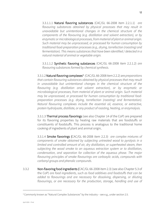3.3.1.1.1 Natural flavoring substances (CAC/GL 66-2008 item 2.2.1.1) *are flavouring substances obtained by physical processes that may result in unavoidable but unintentional changes in the chemical structure of the components of the flavouring (e.g. distillation and solvent extraction), or by enzymatic or microbiological processes, frommaterial of plant or animal origin. Such material may be unprocessed, or processed for human consumption by traditional food-preparation processes (e.g., drying, torrefaction (roasting) and fermentation). This means substances that have been identified / detected in a natural material of animal or vegetable origin.*

3.3.1.1.2 Synthetic flavoring substances (CAC/GL 66-2008 item 2.2.1.2) *are flavouring substances formed by chemical synthesis.*

3.3.1.2 Natural flavoring complexes[3](#page-12-0) (CAC/GL 66-2008 item 2.2.2) are *preparations that contain flavouring substances obtained by physical processes that may result in unavoidable but unintentional changes in the chemical structure of the flavouring (e.g. distillation and solvent extraction), or by enzymatic or microbiological processes, from material of plant or animal origin. Such material may be unprocessed, or processed for human consumption by traditional foodpreparation processes (e.g. drying, torrefaction (roasting) and fermentation). Natural flavouring complexes include the essential oil, essence, or extractive, protein hydrolysate, distillate, or any product of roasting, heating, or enzymolysis.*

3.3.1.3 Thermal process flavorings (see also Chapter 14 of the CoP) are prepared for its flavoring properties by heating raw materials that are foodstuffs or constituents of foodstuffs. This process is analogous to the traditional home cooking of ingredients of plant and animal origin.

3.3.1.4 Smoke flavorings (CAC/GL 66-2008 item 2.2.3) *are complex mixtures of components of smoke obtained by subjecting untreated wood to pyrolysis in a limited and controlled amount of air, dry distillation, or superheated steam, then subjecting the wood smoke to an aqueous extraction system or to distillation, condensation, and separation for collection of the aqueous phase. The major flavouring principles of smoke flavourings are carboxylic acids, compounds with carbonyl groups and phenolic compounds.*

3.3.2 Non-flavoring food ingredients (CAC/GL 66-2008 item 2.3) (see also Chapter 5.3 of the CoP) *are food ingredients, such as food additives and foodstuffs that can be*  added to flavourings and are necessary for dissolving, dispersing, or diluting flavourings, or are necessary for the production, storage, handling and use of

<span id="page-12-0"></span> $3$  Commonly known as "Natural Complex Substances" by the industry – see e.g., under section 2.5.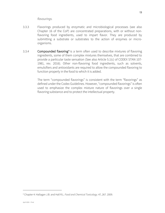- 3.3.3 Flavorings produced by enzymatic and microbiological processes (see also Chapter 16 of the CoP) are concentrated preparations, with or without nonflavoring food ingredients, used to impart flavor. They are produced by submitting a substrate or substrates to the action of enzymes or microorganisms.
- 3.3.[4](#page-13-0) **Compounded flavoring<sup>4</sup>** is a term often used to describe mixtures of flavoring ingredients, some of them complex mixtures themselves, that are combined to provide a particular taste sensation (See also Article 5.1(c) of CODEX STAN 107- 1981, rev. 2016). Other non-flavoring food ingredients, such as solvents, emulsifiers and antioxidants are required to allow the compounded flavoring to function properly in the food to which it is added.

The term "compounded flavorings" is consistent with the term "flavorings" as defined under the Codex Guidelines. However, "compounded flavorings" is often used to emphasize the complex mixture nature of flavorings over a single flavoring substance and to protect the intellectual property.

<span id="page-13-0"></span><sup>4</sup> Chapter 4: Hallagan J.B. and Hall R.L. *Food and Chemical Toxicology*. 47, 267. 2009.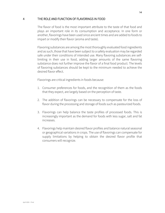#### <span id="page-14-0"></span>4 THE ROLE AND FUNCTION OF FLAVORINGS IN FOOD

The flavor of food is the most important attribute to the taste of that food and plays an important role in its consumption and acceptance. In one form or another, flavorings have been used since ancient times and are added to foods to impart or modify their flavor (aroma and taste).

Flavoring substances are among the most thoroughly evaluated food ingredients and as such, those that have been subject to a safety evaluation may be regarded safe under their conditions of intended use. Many flavoring substances are selflimiting in their use in food, adding larger amounts of the same flavoring substance does not further improve the flavor of a final food product. The levels of flavoring substances should be kept to the minimum needed to achieve the desired flavor effect.

Flavorings are critical ingredients in foods because:

- 1. Consumer preferences for foods, and the recognition of them as the foods that they expect, are largely based on the perception of taste.
- 2. The addition of flavorings can be necessary to compensate for the loss of flavor during the processing and storage of foods such as pasteurized foods.
- 3. Flavorings can help balance the taste profiles of processed foods. This is increasingly important as the demand for foods with less sugar, salt and fat increases.
- 4. Flavorings help maintain desired flavor profiles and balance natural seasonal or geographical variations in crops. The use of flavorings can compensate for supply limitations by helping to obtain the desired flavor profile that consumers will recognize.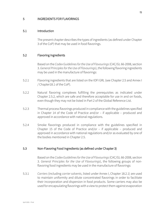#### <span id="page-15-0"></span>5 INGREDIENTS FOR FLAVORINGS

#### <span id="page-15-1"></span>5.1 Introduction

The present chapter describes the types of ingredients (as defined under Chapter 3 of the CoP) that may be used in food flavorings.

#### <span id="page-15-2"></span>5.2 Flavoring Ingredients

Based on the *Codex Guidelines for the Use of Flavourings*(CAC/GL 66-2008, section 3. *General Principles for the Use of Flavourings*), the following flavoring ingredients may be used in the manufacture of flavorings:

- 5.2.1 Flavoring ingredients that are listed on the IOFI GRL (see Chapter 2.5 and Annex I / Chapter18.1 of the CoP).
- 5.2.2 Natural flavoring complexes fulfilling the prerequisites as indicated under Chapter 2.5.2, which are safe and therefore acceptable for use in and on foods, even though they may not be listed in Part 2 of the Global Reference List.
- 5.2.3 Thermal process flavorings produced in compliance with the guidelines specified in Chapter 14 of the Code of Practice and/or – if applicable – produced and approved in accordance with national regulations.
- 5.2.4 Smoke flavorings produced in compliance with the guidelines specified in Chapter 15 of the Code of Practice and/or – if applicable – produced and approved in accordance with national regulations and/or as evaluated by one of the bodies mentioned in Chapter 2.5.

#### <span id="page-15-3"></span>5.3 Non-Flavoring Food Ingredients (as defined under Chapter 3)

Based on the *Codex Guidelines for the Use of Flavourings*(CAC/GL 66-2008, section 3. *General Principles for the Use of Flavourings*), the following groups of nonflavoring food ingredients may be used in the manufacture of flavorings:

5.3.1 *Carriers* (including *carrier solvents*, listed under Annex I, Chapter 18.2.1) are used to maintain uniformity and dilute concentrated flavorings in order to facilitate their incorporation and dispersion in food products. Some carriers may also be used for encapsulating flavorings with a view to protect them against evaporation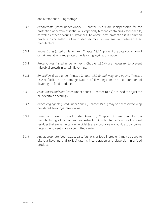and alterations during storage.

- 5.3.2 *Antioxidants* (listed under Annex I, Chapter 18.2.2) are indispensable for the protection of certain essential oils, especially terpene-containing essential oils, as well as other flavoring substances. To obtain best protection it is common practice to add authorized antioxidants to most raw materials at the time of their manufacture.
- 5.3.3 *Sequestrants* (listed under Annex I, Chapter 18.2.3) prevent the catalytic action of certain metal ions and protect the flavoring against oxidation.
- 5.3.4 *Preservatives* (listed under Annex I, Chapter 18.2.4) are necessary to prevent microbial growth in certain flavorings.
- 5.3.5 *Emulsifiers* (listed under Annex I, Chapter 18.2.5) *and weighting agents* (Annex I, 18.2.6) facilitate the homogenization of flavorings, or the incorporation of flavorings in food products.
- 5.3.6 *Acids, bases and salts*(listed under Annex I, Chapter 18.2.7) are used to adjust the pH of certain flavorings.
- 5.3.7 *Anticaking agents*(listed under Annex I, Chapter 18.2.8) may be necessary to keep powdered flavorings free-flowing.
- 5.3.8 *Extraction solvents* (listed under Annex II, Chapter 19) are used for the manufacturing of certain natural extracts. Only limited amounts of solvent residues that are technically unavoidable are acceptable in food due to carry-over unless the solvent is also a permitted carrier.
- 5.3.9 Any appropriate food (e.g., sugars, fats, oils or food ingredient) may be used to dilute a flavoring and to facilitate its incorporation and dispersion in a food product.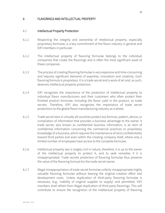#### <span id="page-17-0"></span>6 FLAVORINGS AND INTELLECTUAL PROPERTY

#### <span id="page-17-1"></span>6.1 Intellectual Property Protection

- 6.1.1 Respecting the integrity and ownership of intellectual property, especially proprietary formulae, is a key commitment of the flavor industry in general and IOFI members in particular.
- 6.1.2 The intellectual property of flavoring formulae belongs to the individual companies that create the flavorings and is often the most significant asset of these companies.
- 6.1.3 The process of creating flavoring formulae is very expensive and time-consuming and requires significant elements of expertise, innovation and creativity. Each flavoring formula is proprietary: it is a trade secret and a work of art and, as such, deserves intellectual property protection.
- 6.1.4 IOFI recognizes the importance of the protection of intellectual property to individual flavor manufacturers and their customers who often protect their finished product formulae, including the flavor used in the product, as trade secrets. Therefore, IOFI also recognizes the importance of trade secret protections to the global flavor manufacturing industry as a whole.
- 6.1.5 Trade secret laws in virtually all countries protect any formula, pattern, device, or compilation of information that provides a business advantage to the owner. A trade secret, also known as confidential business information, is an item of confidential information concerning the commercial practices or proprietary knowledge of a business, which requires the maintenance of strict confidentiality toward third parties and even within the creating company itself, where only a limited number of employees have access to the complete formulae.
- 6.1.6 Intellectual property law is largely civil in nature; therefore, it is up to the owner of the intellectual property to protect it, and to seek remedies if it is misappropriated. Trade secrets protection of flavoring formulae thus preserve the value of the flavoring formula for the trade secret owner.
- 6.1.7 Illegal misappropriation of trade secret formulae unfairly misappropriates highly valuable flavoring formulae without bearing the original creation effort and development costs. Unless duplication of third-party flavoring formulae is necessary (e.g., inability of original supplier to supply) and permitted, IOFI members shall refrain from illegal duplication of third-party flavorings. This will contribute to ensure the recognition of the intellectual property of flavoring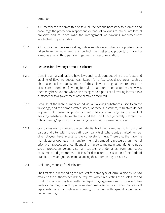formulae.

- 6.1.8 IOFI members are committed to take all the actions necessary to promote and encourage the protection, respect and defense of flavoring formulae intellectual property and to discourage the infringement of flavoring manufacturers' intellectual property rights.
- 6.1.9 IOFI and its members support legislative, regulatory or other appropriate actions taken to reinforce, expand and protect the intellectual property of flavoring formulae against third party infringement or misappropriation.

#### <span id="page-18-0"></span>6.2 Requests for Flavoring Formula Disclosure

- 6.2.1 Many industrialized nations have laws and regulations covering the safe use and labeling of flavoring substances. Except for a few specialized areas, such as pharmaceutical products, none of these laws or regulations requires the disclosure of complete flavoring formulae to authorities or customers. However, there may be situations where disclosing certain parts of a flavoring formula to a customer or to a government official may be required.
- 6.2.2 Because of the large number of individual flavoring substances used to create flavorings, and the demonstrated safety of these substances, regulators do not require that consumer products bear labeling identifying each individual flavoring substance. Regulators around the world have generally adopted the "class naming" approach to identifying flavorings in consumer products.
- 6.2.3 Companies wish to protect the confidentiality of their formulae, both from third parties and often within the creating company itself, where only a limited number of employees have access to the complete formula. Therefore, the flavoring manufacturer operates in an environment of competing pressures: an internal priority on protection of confidential formulae to maintain legal rights to trade secret protection versus external requests and demands from end users, consumers and government officials for disclosure. This section of the Code of Practice provides guidance on balancing these competing pressures.

#### 6.2.4 Evaluating requests for disclosure

The first step in responding to a request for some type of formula disclosure is to establish the authority behind the request. Who is requesting the disclosure and what position do they hold with the requesting organization? This is a sensitive analysis that may require input from senior management or the company's local representative in a particular country, or others with special expertise or understanding.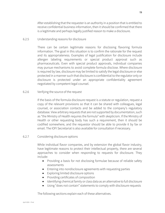After establishing that the requester is an authority in a position that is entitled to receive confidential business information, then it should be confirmed that there is a legitimate and perhaps legally justified reason to make a disclosure.

#### 6.2.5 Understanding reasons for disclosure

There can be certain legitimate reasons for disclosing flavoring formula information. The goal in this situation is to confirm the rationale for the request and its appropriateness. Examples of legal justification for disclosure include allergen labeling requirements or special product approval such as pharmaceuticals. Even with special product approvals, individual companies may pursue mechanisms to avoid complete formula disclose. Where disclosure is required by law, disclosure may be limited to satisfy the legal disclosure or else protected in a manner such that disclosure is confidential to the regulator only or disclosure is protected under an appropriate confidentiality agreement negotiated by competent legal counsel.

#### 6.2.6 Verifying the source of the request

If the basis of the formula disclosure request is a statute or regulation, request a copy of the relevant provisions so that it can be shared with colleagues, legal counsel, or association contacts and be added to the company's regulatory database. View arbitrary requests that are not supported by documentation, such as "the Ministry of Health requires the formula" with skepticism. If the Ministry of Health or other requesting body has such a requirement, then it should be codified somewhere, and the requestor should be able to provide it by fax or email. The IOFI Secretariat is also available for consultation if necessary.

#### 6.2.7 Considering disclosure options

While individual flavor companies, and by extension the global flavor industry, have legitimate reasons to protect their intellectual property, there are several approaches to consider when responding to requests for disclosure. They include:

- Providing a basis for not disclosing formulae because of reliable safety assessments
- Entering into nondisclosure agreements with requesting parties
- Exploring limited disclosure options
- Providing certificates of composition
- Identifying chemical family or class data as an alternative to full disclosure
- Using "does not contain" statements to comply with disclosure requests

The following sections explain each of these alternatives.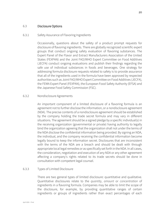#### <span id="page-20-0"></span>6.3 Disclosure Options

#### 6.3.1 Safety Assurance of Flavoring Ingredients

Occasionally, questions about the safety of a product prompt requests for disclosure of flavoring ingredients. There are globally recognized scientific expert groups that conduct ongoing safety evaluation of flavoring substances. The Expert Panel of the Flavor and Extract Manufacturers Association of the United States (FEXPAN) and the Joint FAO/WHO Expert Committee on Food Additives (JECFA) conduct ongoing evaluations and publish their findings regarding the safe use of individual substances in foods and beverages. One strategy for addressing formula disclosure requests related to safety is to provide assurance that all of the ingredients used in the formula have been approved by respected authorities such as Joint FAO/WHO Expert Committee on Food Additives (JECFA), the FEMA Expert Panel (FEXPAN), the European Food Safety Authority (EFSA) and the Japanese Food Safety Commission (FSC).

#### 6.3.2 Nondisclosure Agreements

An important component of a limited disclosure of a flavoring formula is an agreement not to further disclose the information, or a nondisclosure agreement (NDA). The precise contents of a nondisclosure agreement should be established by the company holding the trade secret formula and may vary in different situations. The agreement should be a signed pledge by a specific individual(s) in the receiving organization (governmental or private) having authority to legally bind the organization agreeing that the organization shall not under the terms of the NDA disclose the confidential information being provided. By signing an NDA, the individual, and the company receiving the confidential information become legally bound to keep the information secret. Disclosures that are inconsistent with the terms of the NDA are a breach and should be dealt with through appropriate local legal remedies or as specifically set forth in the NDA. In all cases, the consideration, negotiation and execution of any NDA or any other agreement affecting a company's rights related to its trade secrets should be done in consultation with competent legal counsel.

#### 6.3.3 Types of Limited Disclosure

There are two general types of limited disclosure: quantitative and qualitative. Quantitative disclosures relate to the *quantity*, *amount* or *concentration* of ingredients in a flavoring formula. Companies may be able to limit the scope of the disclosure, for example, by providing quantitative ranges of certain ingredients or groups of ingredients rather than exact percentages of each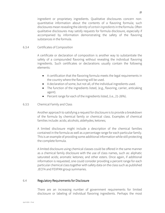ingredient or proprietary ingredients. Qualitative disclosures concern nonquantitative information about the contents of a flavoring formula; such disclosures mean revealing the *identity of certain ingredients*in the formula. Often qualitative disclosures may satisfy requests for formula disclosure, especially if accompanied by information demonstrating the safety of the flavoring substances in the formula.

#### 6.3.4 Certificates of Composition

A certificate or declaration of composition is another way to substantiate the safety of a compounded flavoring without revealing the individual flavoring ingredients. Such certificates or declarations usually contain the following elements:

- A certification that the flavoring formula meets the legal requirements in the country where the flavoring will be used.
- A declaration of some, but not all, of the individual ingredients used.
- The function of the ingredients listed, (e.g., flavoring, carrier, anticaking agent).
- Percent range for each of the ingredients listed, (i.e., 21-26%).

#### 6.3.5 Chemical Family and Class

Another approach to satisfying a request for disclosure is to provide a breakdown of the formula by chemical family or chemical class. Examples of chemical families include: acids; alcohols; aldehydes; ketones;

A limited disclosure might include a description of the chemical families contained in the formula as well as a percentage range for each particular family. This is an example of providing some additional information while still protecting the complete formula.

A limited disclosure using chemical classes could be offered in the same manner as a chemical family disclosure with the use of class names, such as: aliphatic saturated acids; aromatic ketones; and other esters. Once again, if additional information is requested, one could consider providing a percent range for each particular chemical class together with safety data on the class such as published JECFA and FEXPAN group summaries.

#### <span id="page-21-0"></span>6.4 Regulatory Requirements for Disclosure

There are an increasing number of government requirements for limited disclosure or labeling of individual flavoring ingredients. Perhaps the most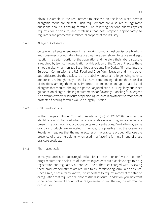obvious example is the requirement to disclose on the label when certain allergenic foods are present. Such requirements are a source of legitimate questions about a flavoring formula. The following sections address typical requests for disclosure, and strategies that both respond appropriately to regulators and protect the intellectual property of the industry.

#### 6.4.1 Allergen Disclosures

Certain ingredientswhen present in a flavoring formula must be disclosed on bulk and consumer product labels because they have been shown to cause an allergic reaction in a certain portion of the population and therefore their label disclosure is required by law. At the publication of this edition of the Code of Practice there is not a globally harmonized list of food allergens. The Codex Alimentarius, the European Commission, the U.S. Food and Drug Administration and many other authorities require the disclosure on the label when certain allergenic ingredients are present. Although many of the lists have common ingredients there are also distinctions among them. It is important to maintain an up-to-date list of allergens that require labeling in a particular jurisdiction. IOFI regularly publishes guidance on allergen labeling requirements for flavorings. Labeling for allergens is an example where disclosure of specific ingredients in an otherwise trade secret protected flavoring formula would be legally justified.

#### 6.4.2 Oral Care Products

In the European Union, Cosmetic Regulation (EC) N° 1223/2009 requires the identification on the label when any one of 26 so-called fragrance allergens is present in a cosmetic product above certain concentrations. Due to the way some oral care products are regulated in Europe, it is possible that the Cosmetics Regulation requires that the manufacturer of the oral care product disclose the presence of these ingredients when used in a flavoring formula in one of these oral care products.

#### 6.4.3 Pharmaceuticals

In many countries, products regulated as either prescription or "over the counter" drugs require the disclosure of inactive ingredients such as flavorings to drug registration and regulatory authorities. The authorities charged with reviewing these products sometimes are required to ask for flavoring formula disclosures. Once again, if not already known, it is important to request a copy of the statute or regulation that requires or authorizes the disclosure. In addition, you may want to consider the use of a nondisclosure agreement to limit the way the information can be used.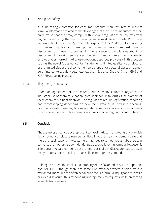#### 6.4.4 Workplace safety

It is increasingly common for consumer product manufacturers to request formula information related to the flavorings that they use to manufacture their products so that they may comply with relevant regulations or requests from regulators requiring the disclosure of possible workplace hazards. Workplace exposure limits such as "permissible exposure limits" (PELs) for flavoring substances may lead consumer product manufacturers to request formula disclosure for these substances. In the absence of regulations requiring disclosure of flavoring substances, flavoring manufacturers may choose to employ one or more of the disclosure options described previously in this section such as the use of "does not contain" statements, limited qualitative disclosure, or the limited disclosure of some members of specific structural classes that may be of interest (e.g. aldehydes, ketones, etc.). See also Chapter 7.8 on GHS and IOFI/IFRA Labeling Manual.

#### 6.4.5 Illegal Drug Precursors

Under an agreement of the United Nations, many countries regulate the industrial use of chemicals that are precursors for illegal drugs. One example of these chemicals is benzaldehyde. The regulations require registration, reporting and recordkeeping depending on how the substance is used in a flavoring. Compliance with these regulations sometimes requires flavoring manufacturers to provide limited formula information to customers or regulatory authorities.

#### <span id="page-23-0"></span>6.5 Conclusion

The examples directly above represent some of the legal frameworks under which flavor formula disclosure may be justified. They are meant to demonstrate that there are legal reasons why customers may need to sometimes ask about certain contents of an otherwise confidential trade secret flavoring formula. However, it is important to carefully consider the legal basis of any disclosure request, as in many circumstances, disclosure can still be appropriately limited.

Helping to protect the intellectual property of the flavor industry is an important goal for IOFI. Although there are some circumstances where disclosures are warranted, measures can often be taken to focus a formula inquiry and minimize or avoid disclosure, thus responding appropriately to requests while protecting valuable trade secrets.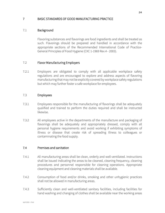#### <span id="page-24-0"></span>7 BASIC STANDARDS OF GOOD MANUFACTURING PRACTICE

#### <span id="page-24-1"></span>7.1 Background

Flavoring substances and flavorings are food ingredients and shall be treated as such. Flavorings should be prepared and handled in accordance with the appropriate sections of the Recommended International Code of Practice-General Principles of Food Hygiene (CXC 1-1969 Rev.4 - 2003).

#### <span id="page-24-2"></span>7.2 Flavor Manufacturing Employers

7.2.1 Employers are obligated to comply with all applicable workplace safety regulations and are encouraged to explore and address aspects of flavoring manufacturing that may not be explicitly covered by workplace safety regulations but which may further foster a safe workplace for employees.

#### <span id="page-24-3"></span>7.3 Employees

- 7.3.1 Employees responsible for the manufacturing of flavorings shall be adequately qualified and trained to perform the duties required and shall be instructed likewise.
- 7.3.2 All employees active in the departments of the manufacture and packaging of flavorings shall be adequately and appropriately dressed, comply with all personal hygiene requirements and avoid working if exhibiting symptoms of illness or disease that create risk of spreading illness to colleagues or contaminating the food supply.

#### <span id="page-24-4"></span>7.4 Premises and sanitation

- 7.4.1 All manufacturing areas shall be clean, orderly and well-ventilated. Instructions shall be issued indicating the areas to be cleaned, cleaning frequency, cleaning procedures and personnel responsible for cleaning operations. Appropriate cleaning equipment and cleaning materials shall be available*.*
- 7.4.2 Consumption of food and/or drinks, smoking and other unhygienic practices shall not be allowed in manufacturing areas.
- 7.4.3 Sufficiently clean and well-ventilated sanitary facilities, including facilities for hand washing and changing of clothes shall be available near the working areas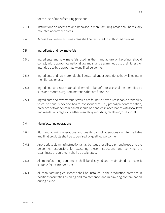for the use of manufacturing personnel.

- 7.4.4 Instructions on access to and behavior in manufacturing areas shall be visually mounted at entrance areas.
- 7.4.5 Access to all manufacturing areas shall be restricted to authorized persons.

#### <span id="page-25-0"></span>7.5 Ingredients and raw materials

- 7.5.1 Ingredients and raw materials used in the manufacture of flavorings should comply with appropriate national law and shall be examined as to their fitness for intended use by appropriately qualified personnel.
- 7.5.2 Ingredients and raw materials shall be stored under conditions that will maintain their fitness for use.
- 7.5.3 Ingredients and raw materials deemed to be unfit for use shall be identified as such and stored away from materials that are fit for use.
- 7.5.4 Ingredients and raw materials which are found to have a reasonable probability to cause serious adverse health consequences (i.e., pathogen contamination, presence of toxic contaminants) should be handled in accordance with local laws and regulations regarding either regulatory reporting, recall and/or disposal.

#### <span id="page-25-1"></span>7.6 Manufacturing operations

- 7.6.1 All manufacturing operations and quality control operations on intermediates and final products shall be supervised by qualified personnel.
- 7.6.2 Appropriate cleaning instructions shall be issued for all equipment in use, and the personnel responsible for executing these instructions and verifying the cleanliness of equipment shall be designated.
- 7.6.3 All manufacturing equipment shall be designed and maintained to make it suitable for its intended use.
- 7.6.4 All manufacturing equipment shall be installed in the production premises in positions facilitating cleaning and maintenance, and minimizing contamination during its use.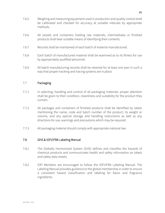- 7.6.5 Weighing and measuring equipment used in production and quality control shall be calibrated and checked for accuracy at suitable intervals by appropriate methods.
- 7.6.6 All vessels and containers holding raw materials, intermediates or finished products shall bear suitable means of identifying their contents.
- 7.6.7 Records shall be maintained of each batch of material manufactured.
- 7.6.8 Each batch of manufactured material shall be examined as to its fitness for use by appropriately qualified personnel.
- 7.6.9 All batch manufacturing records shall be retained for at least one year in such a way that proper tracking and tracing systems are in place.

#### <span id="page-26-0"></span>7.7 Packaging

- 7.7.1 In selecting, handling and control of all packaging materials, proper attention shall be given to their condition, cleanliness and suitability for the product they contain.
- 7.7.2 All packages and containers of finished products shall be identified by labels mentioning the name, code and batch number of the product, its weight or volume, and any special storage and handling instructions as well as any directions for use, warnings and precautions which may be required.
- 7.7.3 All packaging material should comply with appropriate national law.

#### <span id="page-26-1"></span>7.8 GHS & IOFI/IFRA Labeling Manual

- 7.8.1 The Globally Harmonized System (GHS) defines and classifies the hazards of chemical products and communicates health and safety information on labels and safety data sheets.
- 7.8.2 IOFI Members are encouraged to follow the IOFI/IFRA Labeling Manual. The Labeling Manual provides guidance to the global membership in order to ensure a consistent hazard classification and labeling for flavor and fragrance ingredients.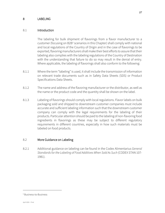#### <span id="page-27-0"></span>8 LABELING

#### <span id="page-27-1"></span>8.1 Introduction

The labeling for bulk shipment of flavorings from a flavor manufacturer to a customer (focusing on B2B<sup>[5](#page-27-3)</sup> scenarios in this Chapter) shall comply with national and local regulations of the Country of Origin and in the case of flavorings to be exported, flavoring manufacturers shall make their best efforts to assure that their labeling also complies with the labeling regulations of the Country of Destination with the understanding that failure to do so may result in the denial of entry. Where applicable, the labeling of flavorings shall also conform to the following:

- 8.1.1 Where the term "labeling" is used, it shall include the transmission of information on relevant trade documents such as in Safety Data Sheets (SDS) or Product Specifications Data Sheets.
- 8.1.2 The name and address of the flavoring manufacturer or the distributor, as well as the name or the product code and the quantity shall be shown on the label.
- 8.1.3 Labeling of flavorings should comply with local regulations. Flavor labels on bulk packaging sold and shipped to downstream customer companies must include accurate and sufficient labeling information such that the downstream customer company can comply with the legal requirements for the labeling of their products. Particular attention should be paid to the labeling of non-flavoring food ingredients in flavorings as these may be subject to different regulatory requirements in different countries, especially in how such materials must be labeled on food products.

#### <span id="page-27-2"></span>8.2 More Guidance on Labeling

8.2.1 Additional guidance on labeling can be found in the Codex Alimentarius *General Standards for the Labeling of Food Additives When Sold As Such* (CODEX STAN 107- 1981).

<span id="page-27-3"></span><sup>5</sup> Business-to-Business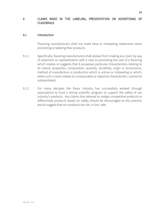#### <span id="page-28-0"></span>9 CLAIMS MADE IN THE LABELING, PRESENTATION OR ADVERTISING OF FLAVORINGS

#### <span id="page-28-1"></span>9.1 Introduction

Flavoring manufacturers shall not make false or misleading statements when promoting or labeling their products.

- 9.1.1 Specifically, flavoring manufacturers shall abstain from making any claim by way of statement or representation with a view to promoting the sale of a flavoring which implies or suggests that it possesses particular characteristics relating to its nature, properties, composition, quantity, durability, origin or provenance, method of manufacture or production which is untrue or misleading or which, when such a claim relates to a measurable or objective characteristic, cannot be substantiated*.*
- 9.1.2 For many decades the flavor industry has successfully worked through associations to fund a strong scientific program to support the safety of our industry's products. Any claims that attempt to malign competitive products or differentiate products based on safety should be discouraged as this practice would suggest that our products are not, in fact, safe.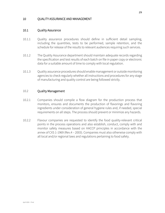#### <span id="page-29-0"></span>10 QUALITY ASSURANCE AND MANAGEMENT

#### <span id="page-29-1"></span>10.1 Quality Assurance

- 10.1.1 Quality assurance procedures should define in sufficient detail sampling, including the quantities, tests to be performed, sample retention, and the schedule for release of the results to relevant audiences requiring such services.
- 10.1.2 The Quality Assurance department should maintain adequate records regarding the specification and test results of each batch on file in paper copy or electronic data for a suitable amount of time to comply with local regulation.
- 10.1.3 Quality assurance procedures should enable management or outside monitoring agencies to check regularly whether all instructions and procedures for any stage of manufacturing and quality control are being followed strictly.

#### <span id="page-29-2"></span>10.2 Quality Management

- 10.2.1 Companies should compile a flow diagram for the production process that monitors, ensures and documents the production of flavorings and flavoring ingredients under consideration of general hygiene rules and, if needed, special requirements on all steps. The process should prevent or minimize any hazards.
- 10.2.2 Flavour companies are requested to identify the food quality-relevant critical points in the process operations and also establish, conduct, comply with and monitor safety measures based on HACCP principles in accordance with the annex of CXS 1-1969 (Rev.4 – 2003). Companies must also otherwise comply with all local and/or regional laws and regulations pertaining to food safety.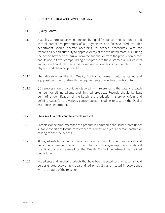#### <span id="page-30-0"></span>11 QUALITY CONTROL AND SAMPLE STORAGE

#### <span id="page-30-1"></span>11.1 Quality Control

- 11.1.1 A Quality Control department directed by a qualified person should monitor and control predefined properties of all ingredients and finished products. This department should operate according to defined procedures, with the responsibility and authority to approve or reject the evaluated materials. During the period between the arrival from the supplier or from the production center and its use in flavor compounding or shipment to the customer, all ingredients and finished products should be stored under conditions compatible with their physical and chemical properties.
- 11.1.2 The laboratory facilities for Quality Control purposes should be staffed and equipped commensurate with the requirements of effective quality control.
- 11.1.3 QC samples should be uniquely labeled, with reference to the date and batch number for all ingredients and finished products. Records should be kept permitting identification of the batch, the production history or origin, and defining dates for the various control steps, including release by the Quality Assurance department.

#### <span id="page-30-2"></span>11.2 Storage of Samples and Rejected Products

- 11.2.1 Samples for external reference of a product in commerce should be stored under suitable conditions for future reference for at least one year after manufacture or as long as shelf life defines.
- 11.2.2 All ingredients to be used in flavor compounding and finished products should be properly sampled, tested for compliance with organoleptic and analytical specifications and released by the Quality Control department via defined procedures.
- 11.2.3 Ingredients and finished products that have been rejected for any reason should be designated accordingly, quarantined physically and treated in accordance with the nature of the rejection.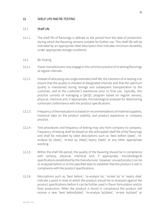#### <span id="page-31-0"></span>12 SHELF LIFE AND RE-TESTING

#### <span id="page-31-1"></span>12.1 Shelf Life

- 12.1.1 The shelf life of flavorings is defined as the period from the date of production during which the flavoring remains suitable for further use. This shelf life will be indicated by an appropriate label description that indicates minimum durability under appropriate storage conditions.
- <span id="page-31-2"></span>12.2 Re-Testing
- 12.2.1 Flavor manufacturers may engage in the common practice of re-testing flavorings at regular intervals.
- 12.2.2 Instead of allocating one single extended shelf life, the intention of re-testing is to ensure that the quality is checked at designated intervals and that the optimum quality is maintained during storage and subsequent transportation to the customer, and at the customer's warehouse prior to final use. Typically, this practice consists of managing a QA/QC program based on regular sensory, physical, chemical and, if appropriate, microbiological analyses for determining continued conformance with the product specifications.
- 12.2.3 Frequency of the evaluations is based on recommendations of material suppliers, historical data on the product stability, and product experience or company practice.
- 12.2.4 Test procedures and frequency of testing may vary from company to company. Frequency of testing shall be based on the anticipated shelf life of the flavorings and shall be indicated by label descriptions such as 'best before [date]', 'reanalyze by [date]', 're-test by [date]','expiry [date]' or any other appropriate wording.
- 12.2.5 Within the shelf life period, the quality of the flavoring should be in compliance with sensory, physical, chemical and, if appropriate, microbiological specifications established by the manufacturer. However, unused product can be re-analyzed before or at the specified date to establish that the product is still in compliance with the product specifications.
- 12.2.6 Descriptions such as 'best before', 're-analyze by', 're-test by' or 'expiry date' indicate a point in time at which the product should be re-analyzed against the product specifications before it can be further used in flavor formulation and/or food production. When the product is found in compliance the product will receive a new 'best before[date]', 're-analyze by[date]', 're-test by[date]' or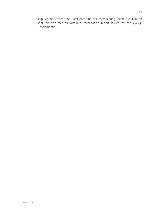'expiry[date]' description. Test data and results reflecting the re-qualification shall be documented within a revalidation report issued by the QA/QC Department(s).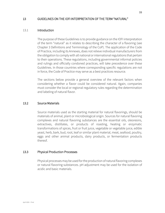#### <span id="page-33-0"></span>13 GUIDELINES ON THE IOFI INTERPRETATION OF THE TERM "NATURAL"

#### <span id="page-33-1"></span>13.1 Introduction

The purpose of these Guidelines is to provide guidance on the IOFI interpretation of the term "natural" as it relates to describing the character of a flavoring (see Chapter 3 Definitions and Terminology of the CoP). The application of the Code of Practice, including its Annexes, does not relieve individual manufacturers from the obligation to comply with all national or international regulations that pertain to their operations. These regulations, including governmental informal policies and rulings and officially condoned practices, will take precedence over these Guidelines. In those countries where corresponding specific regulations are not in force, the Code of Practice may serve as a best practices resource.

The sections below provide a general overview of the relevant factors when considering whether a flavor could be considered natural. Again, companies must consider the local or regional regulatory rules regarding the determination and labeling of natural flavor.

#### <span id="page-33-2"></span>13.2 Source Materials

Source materials used as the starting material for natural flavorings, should be materials of animal, plant or microbiological origin. Sources for natural flavoring complexes and natural flavoring substances are the essential oils, oleoresins, extractives, distillates, or products of roasting, heating or enzymatic transformations of spices, fruit or fruit juice, vegetable or vegetable juice, edible yeast, herb, bark, bud, root, leaf or similar plant material, meat, seafood, poultry, eggs and other animal products, dairy products, or fermentation products thereof.

#### <span id="page-33-3"></span>13.3 Physical Production Processes

Physical processes may be used for the production of natural flavoring complexes or natural flavoring substances. pH adjustment may be used for the isolation of acidic and basic materials.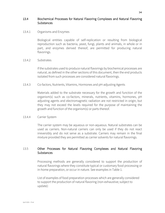#### <span id="page-34-0"></span>13.4 Biochemical Processes for Natural Flavoring Complexes and Natural Flavoring **Substances**

#### 13.4.1 Organisms and Enzymes

Biological entities capable of self-replication or resulting from biological reproduction such as bacteria, yeast, fungi, plants and animals, in whole or in part, and enzymes derived thereof, are permitted for producing natural flavorings.

#### 13.4.2 Substrates

If the substrates used to produce natural flavorings by biochemical processes are natural, as defined in the other sections of this document, then the end products isolated from such processes are considered natural flavorings.

#### 13.4.3 Co-factors, Nutrients, Vitamins, Hormones and pH-adjusting Agents

Materials added to the substrate necessary for the growth and function of the organism(s) such as co-factors, minerals, nutrients, vitamins, hormones, pH adjusting agents and electromagnetic radiation are not restricted in origin, but they may not exceed the levels required for the purpose of maintaining the growth and function of the organism(s) or parts thereof.

#### 13.4.4 Carrier System

The carrier system may be aqueous or non-aqueous. Natural substrates can be used as carriers. Non-natural carriers can only be used if they do not react irreversibly and do not serve as a substrate. Carriers may remain in the final mixture provided they are permitted as carrier solvents for natural flavorings.

#### <span id="page-34-1"></span>13.5 Other Processes for Natural Flavoring Complexes and Natural Flavoring **Substances**

Processing methods are generally considered to support the production of natural flavorings where they constitute typical or customary food processing or in-home preparation, or occur in nature. See examples in Table 1.

List of examples of food preparation processes which are generally considered to support the production of natural flavoring (non-exhaustive; subject to update):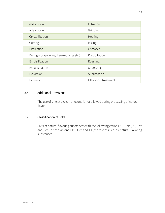| Absorption                                | Filtration           |
|-------------------------------------------|----------------------|
| Adsorption                                | Grinding             |
| Crystallization                           | Heating              |
| Cutting                                   | Mixing               |
| Distillation                              | Osmoses              |
| Drying (spray-drying, freeze-drying etc.) | Precipitation        |
| Emulsification                            | Roasting             |
| Encapsulation                             | Squeezing            |
| Extraction                                | Sublimation          |
| Extrusion                                 | Ultrasonic treatment |

#### <span id="page-35-0"></span>13.6 Additional Provisions

The use of singlet oxygen or ozone is not allowed during processing of natural flavor.

#### <span id="page-35-1"></span>13.7 Classification of Salts

Salts of natural flavoring substances with the following cations  $NH_4^+$ , Na<sup>+</sup>, K<sup>+</sup>, Ca<sup>2+</sup> and Fe<sup>3+</sup>, or the anions Cl,  $SO_4^2$  and  $CO_3^2$  are classified as natural flavoring substances.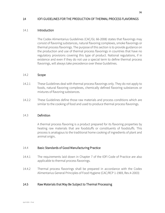#### <span id="page-36-0"></span>14 IOFI GUIDELINES FOR THE PRODUCTION OF THERMAL PROCESS FLAVORINGS

#### <span id="page-36-1"></span>14.1 Introduction

The Codex Alimentarius Guidelines (CAC/GL 66-2008) states that flavorings may consist of flavoring substances, natural flavoring complexes, smoke flavorings or thermal process flavorings. The purpose of this section is to provide guidance on the production and use of thermal process flavorings in countries that have no regulatory provisions covering this type of product. National regulations, if in existence and even if they do not use a special term to define thermal process flavorings, will always take precedence over these Guidelines.

#### <span id="page-36-2"></span>14.2 Scope

- 14.2.1 These Guidelines deal with thermal process flavorings only. They do not apply to foods, natural flavoring complexes, chemically defined flavoring substances or mixtures of flavoring substances.
- 14.2.2 These Guidelines define those raw materials and process conditions which are similar to the cooking of food and used to produce thermal process flavorings.

#### <span id="page-36-3"></span>14.3 Definition

A thermal process flavoring is a product prepared for its flavoring properties by heating raw materials that are foodstuffs or constituents of foodstuffs. This process is analogous to the traditional home cooking of ingredients of plant and animal origin.

#### <span id="page-36-4"></span>14.4 Basic Standards of Good Manufacturing Practice

- 14.4.1 The requirements laid down in Chapter 7 of the IOFI Code of Practice are also applicable to thermal process flavorings.
- 14.4.2 Thermal process flavorings shall be prepared in accordance with the Codex Alimentarius General Principles of Food Hygiene (CAC/RCP 1-1969, Rev.4-2003)

#### <span id="page-36-5"></span>14.5 Raw Materials that May Be Subject to Thermal Processing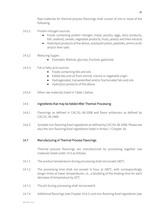Raw materials for thermal process flavorings shall consist of one or more of the following:

- 14.5.1 Protein nitrogen sources:
	- Foods containing protein nitrogen (meat, poultry, eggs, dairy products, fish, seafood, cereals, vegetable products, fruits, yeasts) and their extracts
	- Hydrolysis products of the above, autolyzed yeasts, peptides, amino acids and/or their salts
- 14.5.2 Reducing Sugars
	- Examples: Maltose, glucose, fructose, galactose
- 14.5.3 Fat or fatty acid sources:
	- Foods containing fats and oils
	- Edible fats and oil from animal, marine or vegetable origin
	- Hydrogenated, transesterified and/or fractionated fats and oils
	- Hydrolysis products of the above.
- 14.5.4 Other raw materials listed in Table 1 below

#### <span id="page-37-0"></span>14.6 Ingredients that may be Added After Thermal Processing

- 14.6.1 Flavorings as defined in CAC/GL 66-2008 and flavor enhancers as defined by CAC/GL 36-1989.
- 14.6.2 Suitable non-flavoring food ingredients as defined by CAC/GL 66-2008. Please see also the non-flavoring food ingredients listed in Annex I / Chapter 18.

#### <span id="page-37-1"></span>14.7 Manufacturing of Thermal Process Flavorings

Thermal process flavorings are manufactured by processing together raw materials listed under 14.5 as follows:

- 14.7.1 The product temperature during processing shall not exceed 180°C.
- 14.7.2 The processing time shall not exceed ¼ hour at 180°C, with correspondingly longer times at lower temperatures, i.e., a doubling of the heating time for each decrease of temperature by 10°C.
- 14.7.3 The pH during processing shall not exceed 8.
- 14.7.4 Additional flavorings (see Chapter 14.6.1) and non-flavoring food ingredients (see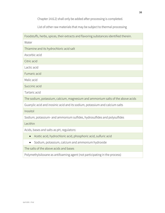Chapter 14.6.2) shall only be added after processing is completed.

List of other raw materials that may be subject to thermal processing

| Foodstuffs, herbs, spices, their extracts and flavoring substances identified therein. |  |  |
|----------------------------------------------------------------------------------------|--|--|
| Water                                                                                  |  |  |
| Thiamine and its hydrochloric acid salt                                                |  |  |
| Ascorbic acid                                                                          |  |  |
| Citric acid                                                                            |  |  |
| Lactic acid                                                                            |  |  |
| Fumaric acid                                                                           |  |  |
| Malic acid                                                                             |  |  |
| Succinic acid                                                                          |  |  |
| Tartaric acid                                                                          |  |  |
| The sodium, potassium, calcium, magnesium and ammonium salts of the above acids        |  |  |
| Guanylic acid and inosinic acid and its sodium, potassium and calcium salts            |  |  |
| Inositol                                                                               |  |  |
| Sodium, potassium- and ammonium sulfides, hydrosulfides and polysulfides               |  |  |
| Lecithin                                                                               |  |  |
| Acids, bases and salts as pH, regulators:                                              |  |  |
| Acetic acid, hydrochloric acid, phosphoric acid, sulfuric acid<br>$\bullet$            |  |  |
| Sodium, potassium, calcium and ammonium hydroxide                                      |  |  |

The salts of the above acids and bases

Polymethylsiloxane as antifoaming agent (not participating in the process)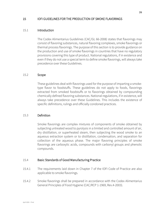#### <span id="page-39-0"></span>15 IOFI GUIDELINES FOR THE PRODUCTION OF SMOKE FLAVORINGS

#### <span id="page-39-1"></span>15.1 Introduction

The Codex Alimentarius Guidelines (CAC/GL 66-2008) states that flavorings may consist of flavoring substances, natural flavoring complexes, smoke flavorings or thermal process flavorings. The purpose of this section is to provide guidance on the production and use of smoke flavorings in countries that have no regulatory provisions covering this type of product. National regulations, if in existence and even if they do not use a special term to define smoke flavorings, will always take precedence over these Guidelines.

#### <span id="page-39-2"></span>15.2 Scope

These guidelines deal with flavorings used for the purpose of imparting a smoketype flavor to foodstuffs. These guidelines do not apply to foods, flavorings extracted from smoked foodstuffs or to flavorings obtained by compounding chemically defined flavoring substances. National regulations, if in existence, will always take precedence over these Guidelines. This includes the existence of specific definitions, rulings and officially condoned practices.

#### <span id="page-39-3"></span>15.3 Definition

Smoke flavorings are complex mixtures of components of smoke obtained by subjecting untreated wood to pyrolysis in a limited and controlled amount of air, dry distillation, or superheated steam, then subjecting the wood smoke to an aqueous extraction system or to distillation, condensation, and separation for collection of the aqueous phase. The major flavoring principles of smoke flavorings are carboxylic acids, compounds with carbonyl groups and phenolic compounds.

#### <span id="page-39-4"></span>15.4 Basic Standards of Good Manufacturing Practice

- 15.4.1 The requirements laid down in Chapter 7 of the IOFI Code of Practice are also applicable to smoke flavorings.
- 15.4.2 Smoke flavorings shall be prepared in accordance with the Codex Alimentarius General Principles of Food Hygiene (CAC/RCP 1-1969, Rev.4-2003).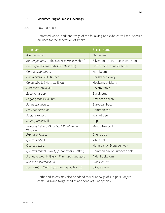#### <span id="page-40-0"></span>15.5 Manufacturing of Smoke Flavorings

#### 15.5.1 Raw materials

Untreated wood, bark and twigs of the following non-exhaustive list of species are used for the generation of smoke.

| Latin name                                            | English name                         |
|-------------------------------------------------------|--------------------------------------|
| Acer negundo L.                                       | Maple tree                           |
| Betula pendula Roth. (syn. B. verrucosa Ehrh.)        | Silver birch or European white birch |
| Betula pubescens Ehrh. (syn. B.alba L.)               | Downy birch or white birch           |
| Carpinus betulus L.                                   | Hornbeam                             |
| Carya ovata (Mill.) K.Koch                            | Shagbark hickory                     |
| Carya alba (L.) Nutt. ex Elliott                      | Mockernut hickory                    |
| Castanea sativa Mill.                                 | Chestnut tree                        |
| Eucalyptus spp.                                       | Eucalyptus                           |
| Fagus grandifolia Ehrh.                               | American beech                       |
| Fagus sylvatica L.                                    | European beech                       |
| Fraxinus excelsior L.                                 | Common ash                           |
| Juglans regia L.                                      | Walnut tree                          |
| Malus pumila Mill.                                    | Apple                                |
| Prosopis juliflora (Sw.) DC. & P. velutenia<br>Wooton | Mesquite wood                        |
| Prunus avium L.                                       | Cherry tree                          |
| Quercus alba L.                                       | White oak                            |
| Quercus ilex L.                                       | Holm oak or Evergreen oak            |
| Quercus robur L (syn. Q. pedunculata Hoffm.)          | Common oak or European oak           |
| Frangula alnus Mill. (syn. Rhamnus frangula L.)       | Alder buckthorn                      |
| Robinia pseudoacacia L.                               | <b>Black locust</b>                  |
| Ulmus rubra Muhl. (syn. Ulmus fulva Michx.)           | Slippery elm                         |

Herbs and spices may also be added as well as twigs of Juniper (*Juniper communis*) and twigs, needles and cones of Pine species.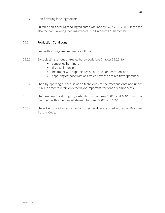#### 15.5.2 Non-flavoring food ingredients

Suitable non-flavoring food ingredients as defined by CAC/GL 66-2008. Please see also the non-flavoring food ingredients listed in Annex I / Chapter 18.

#### <span id="page-41-0"></span>15.6 Production Conditions

Smoke flavorings are prepared as follows:

- 15.6.1 By subjecting various untreated hardwoods (see Chapter 15.5.1) to
	- controlled burning, or
	- dry distillation, or
	- treatment with superheated steam and condensation, and
	- capturing of those fractions which have the desired flavor potential.
- 15.6.2 Then by applying further isolation techniques to the fractions obtained under 15.6.1 in order to retain only the flavor-important fractions or components.
- 15.6.3 The temperature during dry distillation is between 200°C and 600°C, and the treatment with superheated steam is between 300°C and 600°C
- 15.6.4 The solvents used for extraction and their residues are listed in Chapter 19, Annex II of this Code.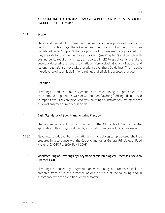#### <span id="page-42-0"></span>16 IOFI GUIDELINES FOR ENZYMATIC AND MICROBIOLOGICAL PROCESSES FOR THE PRODUCTION OF FLAVORINGS

#### <span id="page-42-1"></span>16.1 Scope

These Guidelines deal with enzymatic and microbiological processes used for the production of flavorings. These Guidelines do not apply to flavoring substances (as defined under Chapter 3) that are produced by these methods, provided that they are safe for the intended use as flavoring (see Chapter 5) and comply with existing purity requirements (e.g., as reported in JECFA specifications) and are devoid of detectable residual enzymatic or microbiological activity. National and regional regulations always take precedence over these Guidelines. This includes the existence of specific definitions, rulings and officially accepted practices.

#### <span id="page-42-2"></span>16.2 Definition

Flavorings produced by enzymatic and microbiological processes are concentrated preparations, with or without non-flavoring food ingredients, used to impart flavor. They are produced by submitting a substrate or substrates to the action of enzymes or micro-organisms.

#### <span id="page-42-3"></span>16.3 Basic Standards of Good Manufacturing Practice

- 16.3.1 The requirements laid down in Chapter 7 of the IOFI Code of Practice are also applicable to flavorings produced by enzymatic or microbiological processes.
- 16.3.2 Flavorings produced by enzymatic and microbiological processes shall be prepared in accordance with the Codex Alimentarius General Principles of Food Hygiene (CAC/RCP 1)1969, Rev.4-2003)

#### <span id="page-42-4"></span>16.4 Manufacturing of Flavorings by Enzymatic or Microbiological Processes (see also Chapter 13.4)

Flavorings produced by enzymatic or microbiological processes shall be prepared from or in the presence of one or more of the following and in accordance with the conditions cited hereafter: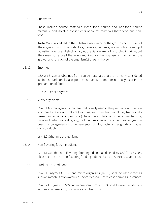#### 16.4.1 Substrates

These include source materials (both food source and non-food source materials) and isolated constituents of source materials (both food and nonfood).

Note: Materials added to the substrate necessary for the growth and function of the organism(s) such as co-factors, minerals, nutrients, vitamins, hormones, pH adjusting agents and electromagnetic radiation are not restricted in origin, but they may not exceed the levels required for the purpose of maintaining the growth and function of the organism(s) or parts thereof.

#### 16.4.2 Enzymes

16.4.2.1 Enzymes obtained from source materials that are normally considered as foods, traditionally accepted constituents of food, or normally used in the preparation of food.

16.4.2.2 Other enzymes

#### 16.4.3 Micro-organisms

16.4.3.1 Micro-organisms that are traditionally used in the preparation of certain food products and/or that are (resulting from their traditional use) traditionally present in certain food products (where they contribute to their characteristics, taste and nutritional value, e.g., mold in blue cheeses or other cheeses, yeast in beer, micro-organisms in other fermented drinks, bacteria in yoghurts and other dairy products…)..

16.4.3.2 Other micro-organisms

16.4.4 Non-flavoring food ingredients

16.4.4.1 Suitable non-flavoring food ingredients as defined by CAC/GL 66-2008. Please see also the non-flavoring food ingredients listed in Annex I / Chapter 18.

#### 16.4.5 Production Conditions

16.4.5.1 Enzymes (16.5.2) and micro-organisms (16.5.3) shall be used either as such or immobilized on a carrier. The carrier shall not release harmful substances.

16.4.5.2 Enzymes (16.5.2) and micro-organisms (16.5.3) shall be used as part of a fermentation medium, or in a more purified form.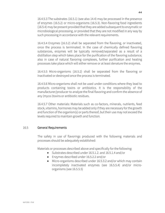16.4.5.3 The substrates (16.5.1) (see also 14.4) may be processed in the presence of enzymes (16.5.2) or micro-organisms (16.5.3). Non-flavoring food ingredients (16.5.4) may be present provided that they are added subsequent to enzymatic or microbiological processing, or provided that they are not modified in any way by such processing in accordance with the relevant requirements.

16.4.5.4 Enzymes (16.5.2) shall be separated from the flavoring, or inactivated, once the process is terminated. In the case of chemically defined flavoring substances, enzymes will be typically removed/separated as a result of a distillation step which takes place for the purification of the flavoring substance; also in case of natural flavoring complexes, further purification and heating processes take place which will either remove or at least denature the enzymes.

16.4.5.5 Micro-organisms (16.5.2) shall be separated from the flavoring or inactivated or destroyed once the process is terminated.

16.4.5.6 Micro-organisms shall not be used under conditions where they lead to products containing toxins or antibiotics. It is the responsibility of the manufacturer/producer to analyze the final flavoring and confirm the absence of any (myco-)toxins or antibiotic residues.

16.4.5.7 Other materials: Materials such as co-factors, minerals, nutrients, feed stock, vitamins, hormones may be added only if they are necessary for the growth and function of the organism(s) or parts thereof, but their use may not exceed the levels required to maintain growth and function.

#### <span id="page-44-0"></span>16.5 General Requirements

The safety in use of flavorings produced with the following materials and processes should be adequately established:

Materials or processes described above and specifically for the following:

- Substrates described under 16.5.1.2. and 16.5.1.4 and/or
- Enzymes described under 16.5.2.2 and/or
- Micro-organisms described under 16.5.3.2 and/or which may contain incompletely inactivated enzymes (see 16.5.5.4) and/or microorganisms (see 16.5.5.5)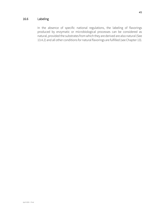#### <span id="page-45-0"></span>16.6 Labeling

In the absence of specific national regulations, the labeling of flavorings produced by enzymatic or microbiological processes can be considered as natural, provided the substrates from which they are derived are also natural (See 13.4.2) and all other conditions for natural flavorings are fulfilled (see Chapter 13).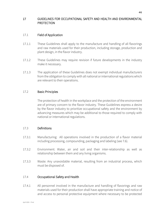#### <span id="page-46-0"></span>17 GUIDELINES FOR OCCUPATIONAL SAFETY AND HEALTH AND ENVIRONMENTAL PROTECTION

#### <span id="page-46-1"></span>17.1 Field of Application

- 17.1.1 These Guidelines shall apply to the manufacture and handling of all flavorings and raw materials used for their production, including storage, production and plant design, in the flavor industry.
- 17.1.2 These Guidelines may require revision if future developments in the industry make it necessary.
- 17.1.3 The application of these Guidelines does not exempt individual manufacturers from the obligation to comply with all national or international regulations which are relevant to their operations.

#### <span id="page-46-2"></span>17.2 Basic Principles

The protection of health in the workplace and the protection of the environment are of primary concern to the flavor industry. These Guidelines express a desire by the flavor industry to prioritize occupational safety and the environment by advancing measures which may be additional to those required to comply with national or international regulations.

#### <span id="page-46-3"></span>17.3 Definitions

- 17.3.1 Manufacturing: All operations involved in the production of a flavor material including processing, compounding, packaging and labeling (see 7.6).
- 17.3.2 Environment: Water, air and soil and their inter-relationship as well as relationship between them and any living organisms.
- 17.3.3 Waste: Any unavoidable material, resulting from an industrial process, which must be disposed of.

#### <span id="page-46-4"></span>17.4 Occupational Safety and Health

17.4.1 All personnel involved in the manufacture and handling of flavorings and raw materials used for their production shall have appropriate training and notice of and access to personal protective equipment where necessary to be protected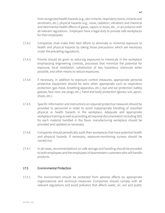from recognized health hazards (e.g., skin irritants, respiratory toxins, irritants and sensitizers, etc.), physical hazards (e.g., noise, radiation, vibration) and chemical and detrimental health effects of gases, vapors or dusts, etc., in accordance with all relevant regulations. Employers have a legal duty to provide safe workplaces for their employees.

- 17.4.2 Companies shall make their best efforts to eliminate or minimize exposure to health and physical hazards by taking those precautions which are necessary under the prevailing regulations.
- 17.4.3 Priority should be given to reducing exposures to chemicals in the workplace emphasizing engineering controls, processes that minimize the potential for exposure, local ventilation, substitution of less hazardous chemicals when possible, and other means to reduce exposures.
- 17.4.4 If necessary, in addition to exposure control measures, appropriate personal protective equipment should be worn when appropriate such as respiratory protection (gas mask, breathing apparatus, etc.), eye and ear protection (safety glasses, face visor, ear plugs, etc.), hand and body protection (gloves, suit, apron, shoes, etc.).
- 17.4.5 Specific information and instructions on required protective measures should be provided to personnel in order to avoid inappropriate handling of classified physical or health hazards in the workplace. Adequate and appropriate workplace training as well as providing all required documentation including SDS for each material handled in the flavor manufacturing workplace should be provided and updated as necessary.
- 17.4.6 Companies should periodically audit their workplaces that have potential health and physical hazards. If necessary, exposure-monitoring surveys should be carried out.
- 17.4.7 In all cases, recommendations on safe storage and handling should be provided to both employees and the employees of downstream customers who will handle products.

#### <span id="page-47-0"></span>17.5 Environmental Protection

17.5.1 The environment should be protected from adverse effects by appropriate organizational and technical measures. Companies should comply with all relevant regulations and avoid pollution that affects water, air, soil and public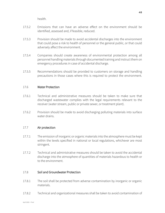health.

- 17.5.2 Emissions that can have an adverse effect on the environment should be identified, assessed and, if feasible, reduced.
- 17.5.3 Provision should be made to avoid accidental discharges into the environment that could pose a risk to health of personnel or the general public, or that could adversely affect the environment.
- 17.5.4 Companies should create awareness of environmental protection among all personnel handling materials through documented training and instruct them on emergency procedures in case of accidental discharge.
- 17.5.5 Recommendations should be provided to customers on storage and handling precautions in those cases where this is required to protect the environment.

#### <span id="page-48-0"></span>17.6 Water Protection

- 17.6.1 Technical and administrative measures should be taken to make sure that discharged wastewater complies with the legal requirements relevant to the receiver (water stream, public or private sewer, or treatment plant).
- 17.6.2 Provision should be made to avoid discharging polluting materials into surface water drains.

#### <span id="page-48-1"></span>17.7 Air protection

- 17.7.1 The emission of inorganic or organic materials into the atmosphere must be kept within the levels specified in national or local regulations, whichever are most stringent.
- 17.7.2 Technical and administrative measures should be taken to avoid the accidental discharge into the atmosphere of quantities of materials hazardous to health or to the environment.

#### <span id="page-48-2"></span>17.8 Soil and Groundwater Protection

- 17.8.1 The soil shall be protected from adverse contamination by inorganic or organic materials.
- 17.8.2 Technical and organizational measures shall be taken to avoid contamination of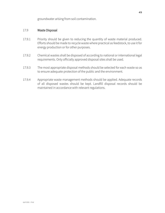groundwater arising from soil contamination.

#### <span id="page-49-0"></span>17.9 Waste Disposal

- 17.9.1 Priority should be given to reducing the quantity of waste material produced. Efforts should be made to recycle waste where practical as feedstock, to use it for energy production or for other purposes.
- 17.9.2 Chemical wastes shall be disposed of according to national or international legal requirements. Only officially approved disposal sites shall be used.
- 17.9.3 The most appropriate disposal methods should be selected for each waste so as to ensure adequate protection of the public and the environment.
- 17.9.4 Appropriate waste management methods should be applied. Adequate records of all disposed wastes should be kept. Landfill disposal records should be maintained in accordance with relevant regulations.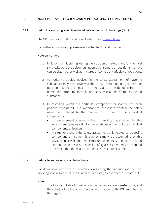#### <span id="page-50-0"></span>18 ANNEX I: LISTS OF FLAVORING AND NON-FLAVORING FOOD INGREDIENTS

#### <span id="page-50-1"></span>18.1 List of Flavoring Ingredients – Global Reference List of Flavorings (GRL)

The GRL can be consulted and downloaded unde[r www.iofi.org.](http://www.iofi.org/)

For further explanations, please refer to Chapter 2.5 and Chapter 5.3.

#### Note on Isomers

- 1. In flavor manufacturing, during the isolation of naturals and/or chemical synthesis, pure stereoisomers, geometric isomers or positional isomers can be obtained, as well as mixtures of isomers of variable compositions.
- 2. Authoritative bodies involved in the safety assessment of flavoring substances may have reviewed the safety of the stereo-, geometric or positional isomers, or mixtures thereof, as can be deduced from the name, the structural formula or the specifications of the evaluated substance.
- 3. In assessing whether a particular component or isomer has been positively evaluated, it is important to investigate whether the safety assessment related to the mixture, or to one of the individual components.
	- If the assessment occurred on the mixture, it can be assumed that this assessment remains valid for the safety assessment of the individual components or isomers.
	- In situations where the safety assessment only related to a specific component or isomer, it cannot simply be assumed that this assessment is valid for the mixture or a different isomer of the related compound. In this case a specific safety assessment may be required to cover either the related isomer or the mixture of isomers.

#### <span id="page-50-2"></span>18.2 Lists of Non-flavoring Food Ingredients

For definitions and further explanations regarding the various types of nonflavoring food ingredients listed under this chapter, please refer to Chapter 5.3.

#### Note:

1. The following lists of non-flavoring ingredients are non-exhaustive, and they shall not be the only source of information for the IOFI members in this regard.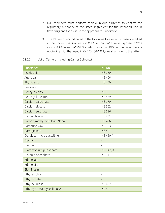- 2. IOFI members must perform their own due diligence to confirm the regulatory authority of the listed ingredient for the intended use in flavorings and food within the appropriate jurisdiction.
- 3. The INS numbers indicated in the following lists refer to those identified in the Codex *Class Names and the International Numbering System (INS) for Food Additives*(CAC/GL 36-1989). If a certain INS number listed here is not in line with that used in CAC/GL 36-1989, one shall refer to the latter.

#### 18.2.1 List of Carriers (including Carrier Solvents)

| Substance                       | INS No.            |
|---------------------------------|--------------------|
| Acetic acid                     | <b>INS 260</b>     |
| Agar agar                       | <b>INS406</b>      |
| Alginic acid                    | <b>INS400</b>      |
| Beeswax                         | <b>INS 901</b>     |
| Benzyl alcohol                  | <b>INS 1519</b>    |
| beta-Cyclodextrine              | <b>INS 459</b>     |
| Calcium carbonate               | <b>INS 170</b>     |
| Calcium silicate                | <b>INS 552</b>     |
| Calcium sulphate                | <b>INS 516</b>     |
| Candelilla wax                  | <b>INS 902</b>     |
| Carboxymethyl cellulose, Nasalt | <b>INS466</b>      |
| Carnauba wax                    | <b>INS 903</b>     |
| Carrageenan                     | <b>INS 407</b>     |
| Cellulose, microcrystalline     | INS 460(i)         |
| Dextran                         |                    |
| Dextrin                         |                    |
| Diammonium phosphate            | <b>INS 342(ii)</b> |
| Distarch phosphate              | <b>INS 1412</b>    |
| Edible fats                     |                    |
| Edible oils                     |                    |
| Elemi resin                     |                    |
| Ethyl alcohol                   |                    |
| Ethyl lactate                   |                    |
| Ethyl cellulose                 | <b>INS 462</b>     |
| Ethyl hydroxyethyl cellulose    | <b>INS467</b>      |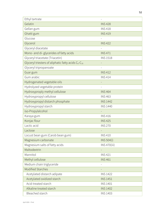| Ethyl tartrate                                                              |                     |
|-----------------------------------------------------------------------------|---------------------|
| Gelatin                                                                     | <b>INS428</b>       |
| Gellan gum                                                                  | <b>INS418</b>       |
| Ghatti gum                                                                  | <b>INS419</b>       |
| Glucose                                                                     |                     |
| Glycerol                                                                    | <b>INS422</b>       |
| Glyceryl diacetate                                                          |                     |
| Mono- and di-glycerides of fatty acids                                      | <b>INS471</b>       |
| Glyceryl triacetate (Triacetin)                                             | <b>INS 1518</b>     |
| Glyceryl triesters of aliphatic fatty acids C <sub>6</sub> -C <sub>18</sub> |                     |
| Glyceryl tripropanoate                                                      |                     |
| Guar gum                                                                    | <b>INS412</b>       |
| Gum arabic                                                                  | <b>INS414</b>       |
| Hydrogenated vegetable oils                                                 |                     |
| Hydrolyzed vegetable protein                                                |                     |
| Hydroxyproply methyl cellulose                                              | <b>INS 464</b>      |
| Hydroxypropyl cellulose                                                     | <b>INS463</b>       |
| Hydroxypropyl distarch phosphate                                            | <b>INS 1442</b>     |
| Hydroxypropyl starch                                                        | <b>INS 1440</b>     |
| iso-Propylalcohol                                                           |                     |
| Karaya gum                                                                  | <b>INS416</b>       |
| Konjac flour                                                                | <b>INS425</b>       |
| Lactic acid                                                                 | <b>INS 270</b>      |
| Lactose                                                                     |                     |
| Locust bean gum (Carob bean gum)                                            | <b>INS410</b>       |
| Magnesium carbonate                                                         | <b>INS 504(i)</b>   |
| Magnesium salts of fatty acids                                              | <b>INS 470(iii)</b> |
| Maltodextrin                                                                |                     |
| Mannitol                                                                    | <b>INS421</b>       |
| Methyl cellulose                                                            | <b>INS461</b>       |
| Medium chain triglyceride                                                   |                     |
| <b>Modified Starches</b>                                                    |                     |
| Acetylated distarch adipate                                                 | <b>INS 1422</b>     |
| Acetylated oxidized starch                                                  | <b>INS 1451</b>     |
| Acid-treated starch                                                         | <b>INS 1401</b>     |
| Alkaline treated starch                                                     | <b>INS 1402</b>     |
| Bleached starch                                                             | <b>INS 1403</b>     |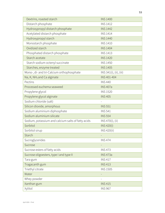| Dextrins, roasted starch                           | <b>INS 1400</b>         |
|----------------------------------------------------|-------------------------|
| Distarch phosphate                                 | <b>INS 1412</b>         |
| Hydroxypropyl distarch phosphate                   | <b>INS 1442</b>         |
| Acetylated distarch phosphate                      | <b>INS 1414</b>         |
| Hydroxypropyl starch                               | <b>INS 1440</b>         |
| Monostarch phosphate                               | <b>INS 1410</b>         |
| Oxidized starch                                    | <b>INS 1404</b>         |
| Phosphated distarch phosphate                      | <b>INS 1413</b>         |
| Starch acetate                                     | <b>INS 1420</b>         |
| Starch sodium octenyl succinate                    | <b>INS 1450</b>         |
| Starches, enzyme treated                           | <b>INS 1405</b>         |
| Mono-, di- and tri-Calcium orthophosphate          | INS 341(i), (ii), (iii) |
| Na, K, NH <sub>4</sub> and Ca alginate             | INS 401-404             |
| Pectins                                            | <b>INS440</b>           |
| Processed euchema seaweed                          | <b>INS 407a</b>         |
| Propylene glycol                                   | <b>INS 1520</b>         |
| Propylene glycol alginate                          | <b>INS 405</b>          |
| Sodium chloride (salt)                             |                         |
| Silicon dioxide, amorphous                         | <b>INS 551</b>          |
| Sodium aluminium diphosphate                       | <b>INS 541</b>          |
| Sodium aluminium silicate                          | <b>INS 554</b>          |
| Sodium, potassium and calcium salts of fatty acids | INS 470(i), (ii)        |
| Sorbitol                                           | <b>INS 420(i)</b>       |
| Sorbitol sirup                                     | INS 420(ii)             |
| Starch                                             |                         |
| Sucroglycerides                                    | <b>INS474</b>           |
| Sucrose                                            |                         |
| Sucrose esters of fatty acids                      | <b>INS473</b>           |
| Sucrose oligoesters, type I and type II            | <b>INS 473a</b>         |
| Tara gum                                           | <b>INS 417</b>          |
| Tragacanth gum                                     | <b>INS413</b>           |
| Triethyl citrate                                   | <b>INS 1505</b>         |
| Water                                              |                         |
| Whey powder                                        |                         |
| Xanthan gum                                        | <b>INS415</b>           |
| Xylitol                                            | <b>INS 967</b>          |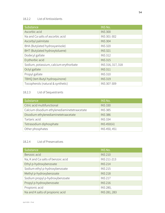## 18.2.2 List of Antioxidants

| Substance                              | INS No.           |
|----------------------------------------|-------------------|
| Ascorbic acid                          | <b>INS 300</b>    |
| Na and Ca salts of ascorbic acid       | INS 301-302       |
| Ascorbyl palmitate                     | <b>INS 304</b>    |
| BHA (Butylated hydroxyanisole)         | <b>INS 320</b>    |
| BHT (Butylated hydroxytoluene)         | <b>INS 321</b>    |
| Dodecyl gallate                        | <b>INS 312</b>    |
| Erythorbic acid                        | <b>INS 315</b>    |
| Sodium, potassium, calcium erythorbate | INS 316, 317, 318 |
| Octyl gallate                          | <b>INS 311</b>    |
| Propyl gallate                         | <b>INS 310</b>    |
| TBHQ (tert-Butyl hydroquinone)         | <b>INS 319</b>    |
| Tocopherols (natural & synthetic)      | INS 307-309       |

## 18.2.3 List of Sequestrants

| Substance                                    | INS No.             |
|----------------------------------------------|---------------------|
| Citric acid multifunctional                  | <b>INS 330</b>      |
| Calcium disodium ethylenediaminetetraacetate | <b>INS 385</b>      |
| Disodium ethylenediaminetetraacetate         | <b>INS 386</b>      |
| Tartaric acid                                | <b>INS 334</b>      |
| Tetrasodium diphosphate                      | <b>INS 450(iii)</b> |
| Other phosphates                             | INS 450, 451        |

### 18.2.4 List of Preservatives

| Substance                          | INS No.        |
|------------------------------------|----------------|
| Benzoic acid                       | <b>INS 210</b> |
| Na, K and Ca salts of benzoic acid | INS 211-213    |
| Ethyl p-hydroxybenzoate            | <b>INS 214</b> |
| Sodium ethyl p-hydroxybenzoate     | <b>INS 215</b> |
| Methyl p-hydroxybenzoate           | <b>INS 218</b> |
| Sodium propyl p-hydroxybenzoate    | <b>INS 217</b> |
| Propyl p-hydroxybenzoate           | <b>INS 216</b> |
| Propionic acid                     | INS 280,       |
| Na and K salts of propionic acid   | INS 281, 283   |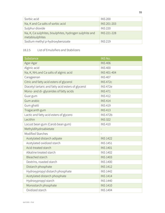| Sorbic acid                                                                | <b>INS 200</b>     |
|----------------------------------------------------------------------------|--------------------|
| Na, K and Ca salts of sorbic acid                                          | INS 201-203        |
| Sulphur dioxide                                                            | <b>INS 220</b>     |
| Na, K, Ca sulphites, bisulphites, hydrogen sulphite and<br>metabisulphites | <b>INS 221-228</b> |
| Sodium methyl p-hydroxybenzoate                                            | <b>INS 219</b>     |

## 18.2.5 List of Emulsifiers and Stabilizers

| Substance                                           | <b>INS No.</b>  |
|-----------------------------------------------------|-----------------|
| Agar-Agar                                           | <b>INS406</b>   |
| Alginic acid                                        | <b>INS400</b>   |
| Na, K, NH <sub>4</sub> and Ca salts of alginic acid | INS 401-404     |
| Carageenan                                          | <b>INS407</b>   |
| Citric and fatty acid esters of glycerol            | <b>INS 472c</b> |
| Diacetyl tartaric and fatty acid esters of glycerol | <b>INS 472e</b> |
| Mono- and di-glycerides of fatty acids              | <b>INS471</b>   |
| Guar gum                                            | <b>INS412</b>   |
| Gum arabic                                          | <b>INS414</b>   |
| Gum ghatti                                          | <b>INS419</b>   |
| Tragacanth gum                                      | <b>INS413</b>   |
| Lactic and fatty acid esters of glycero             | <b>INS 472b</b> |
| Lecithin                                            | <b>INS 322</b>  |
| Locust bean gum (Carob bean gum)                    | <b>INS410</b>   |
| Methyldihydroabietate                               | $\blacksquare$  |
| Modified Starches                                   |                 |
| Acetylated distarch adipate                         | <b>INS 1422</b> |
| Acetylated oxidized starch                          | <b>INS 1451</b> |
| Acid-treated starch                                 | <b>INS 1401</b> |
| Alkaline treated starch                             | <b>INS 1402</b> |
| <b>Bleached starch</b>                              | <b>INS 1403</b> |
| Dextrins, roasted starch                            | <b>INS 1400</b> |
| Distarch phosphate                                  | <b>INS 1412</b> |
| Hydroxypropyl distarch phosphate                    | <b>INS 1442</b> |
| Acetylated distarch phosphate                       | <b>INS 1414</b> |
| Hydroxypropyl starch                                | <b>INS 1440</b> |
| Monostarch phosphate                                | <b>INS 1410</b> |
| Oxidized starch                                     | <b>INS 1404</b> |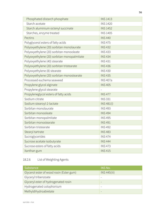| Phosphated distarch phosphate               | <b>INS 1413</b>   |
|---------------------------------------------|-------------------|
| Starch acetate                              | <b>INS 1420</b>   |
| Starch aluminium octenyl succinate          | <b>INS 1452</b>   |
| Starches, enzyme treated                    | <b>INS 1405</b>   |
| Pectins                                     | <b>INS440</b>     |
| Polyglycerol esters of fatty acids          | <b>INS475</b>     |
| Polyoxyethylene (20) sorbitan monolaurate   | <b>INS432</b>     |
| Polyoxyethylene (20) sorbitan monooleate    | <b>INS433</b>     |
| Polyoxyethylene (20) sorbitan monopalmitate | <b>INS 434</b>    |
| Polyoxyethylene (40) stearate               | <b>INS431</b>     |
| Polyoxyethylene (20) sorbitan tristearate   | <b>INS436</b>     |
| Polyoxyethylene (8) stearate                | <b>INS430</b>     |
| Polyoxyethylene (20) sorbitan monostearate  | <b>INS435</b>     |
| Processed euchema seaweed                   | <b>INS 407a</b>   |
| Propylene glycol alginate                   | <b>INS 405</b>    |
| Propylene glycol stearate                   | $\overline{a}$    |
| Propyleneglycol esters of fatty acids       | <b>INS477</b>     |
| Sodium citrate                              | <b>INS 331</b>    |
| Sodium stearoyl-2-lactate                   | <b>INS 481(i)</b> |
| Sorbitan monolaurate                        | <b>INS493</b>     |
| Sorbitan monooleate                         | <b>INS 494</b>    |
| Sorbitan monopalmitate                      | <b>INS 495</b>    |
| Sorbitan monostearate                       | <b>INS491</b>     |
| Sorbitan tristearate                        | <b>INS492</b>     |
| Stearyl tartrate                            | <b>INS483</b>     |
| Sucroglycerides                             | <b>INS474</b>     |
| Sucrose acetate isobutyrate                 | <b>INS 444</b>    |
| Sucrose esters of fatty acids               | <b>INS 473</b>    |
| Xanthan gum                                 | <b>INS415</b>     |

## 18.2.6 List of Weighting Agents

| Substance                                | INS No.      |
|------------------------------------------|--------------|
| Glycerol ester of wood rosin (Ester gum) | INS 445(iii) |
| Glyceryl tribenzoate                     |              |
| Glyceryl ester of hydrogenated rosin     | -            |
| Hydrogenated colophonium                 |              |
| Methyldihydroabietate                    |              |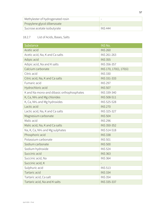| Methylester of hydrogenated rosin |         |
|-----------------------------------|---------|
| Propylene glycol dibenzoate       |         |
| Sucrose acetate isobutyrate       | INS 444 |

## 18.2.7 List of Acids, Bases, Salts

| <b>Substance</b>                            | INS No.                  |
|---------------------------------------------|--------------------------|
| Acetic acid                                 | <b>INS 260</b>           |
| Acetic acid, Na, K and Ca salts             | INS 261-263              |
| Adipic acid                                 | <b>INS 355</b>           |
| Adipic acid, Na and K salts                 | INS 356-357              |
| Calcium carbonate                           | INS 170, 170(i), 170(ii) |
| Citric acid                                 | <b>INS 330</b>           |
| Citric acid, Na, K and Ca salts             | INS 331-333              |
| Fumaric acid                                | <b>INS 297</b>           |
| Hydrochloric acid                           | <b>INS 507</b>           |
| K and Na mono-and dibasic orthophosphates   | INS 339-340              |
| K, Ca, NH <sub>4</sub> and Mg chlorides     | INS 508-511              |
| K, Ca, NH <sub>4</sub> and Mg hydroxides    | INS 525-528              |
| Lactic acid                                 | <b>INS 270</b>           |
| Lactic acid, Na, K and Ca salts             | INS 325-327              |
| Magnesium carbonate                         | <b>INS 504</b>           |
| Malic acid                                  | <b>INS 296</b>           |
| Malic acid, Na, K and Ca salts              | INS 350-352              |
| Na, K, Ca, NH <sub>4</sub> and Mg sulphates | INS 514-518              |
| Phosphoric acid                             | <b>INS 338</b>           |
| Potassium carbonate                         | <b>INS 501</b>           |
| Sodium carbonate                            | <b>INS 500</b>           |
| Sodium hydroxide                            | <b>INS 524</b>           |
| Succinic acid                               | <b>INS 363</b>           |
| Succinic acid, Na                           | <b>INS 364</b>           |
| Succinic acid, K                            |                          |
| Sulphuric acid                              | <b>INS 513</b>           |
| Tartaric acid                               | <b>INS 334</b>           |
| Tartaric acid, Ca salt                      | <b>INS 354</b>           |
| Tartaric acid, Na and K salts               | INS 335-337              |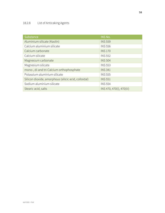## 18.2.8 List of Anticaking Agents

| Substance                                            | <b>INS No.</b>            |
|------------------------------------------------------|---------------------------|
| Aluminium silicate (Kaolin)                          | <b>INS 559</b>            |
| Calcium aluminium silicate                           | <b>INS 556</b>            |
| Calcium carbonate                                    | <b>INS 170</b>            |
| Calcium silicate                                     | <b>INS 552</b>            |
| Magnesium carbonate                                  | <b>INS 504</b>            |
| Magnesium silicate                                   | <b>INS 553</b>            |
| mono-, di-and tri-Calcium orthophosphate             | <b>INS 341</b>            |
| Potassium aluminium silicate                         | <b>INS 555</b>            |
| Silicon dioxide, amorphous (silicic acid, colloidal) | <b>INS 551</b>            |
| Sodium aluminium silicate                            | <b>INS 554</b>            |
| Stearic acid, salts                                  | INS 470, 470(i), 470(iii) |